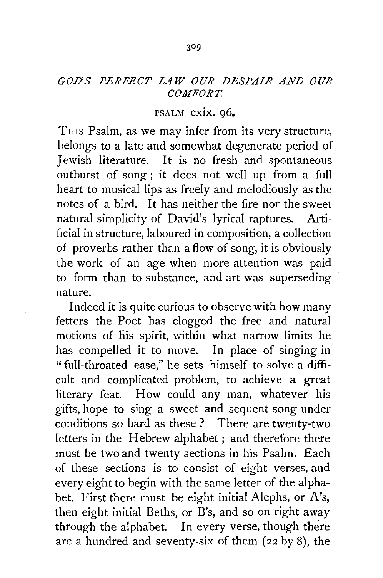## *GOD'S PERFECT LAW OUR DESPAIR AND OUR COMFORT.*

## PSALM cxix, 96.

THIS Psalm, as we may infer from its very structure, belongs to a late and somewhat degenerate period of Jewish literature. It is no fresh and spontaneous outburst of song ; it does not well up from a full heart to musical lips as freely and melodiously as the notes of a bird. It has neither the fire nor the sweet natural simplicity of David's lyrical raptures. Artificial in structure, laboured in composition, a collection of proverbs rather than a flow of song, it is obviously the work of an age when more attention was paid to form than to substance, and art was superseding nature.

Indeed it is quite curious to observe with how many fetters the Poet has clogged the free and natural motions of his spirit, within what narrow limits he has compelled it to move. In place of singing in "full-throated ease," he sets himself to solve a difficult and complicated problem, to achieve a great literary feat. How could any man, whatever his gifts, hope to sing a sweet and sequent song under conditions so hard as these ? There are twenty-two letters in the Hebrew alphabet ; and therefore there must be two and twenty sections in his Psalm. Each of these sections is to consist of eight verses, and every eight to begin with the same letter of the alphabet. First there must be eight initial Alephs, or A's, then eight initial Beths, or B's, and so on right away through the alphabet. In every verse, though there are a hundred and seventy-six of them (22 by 8), the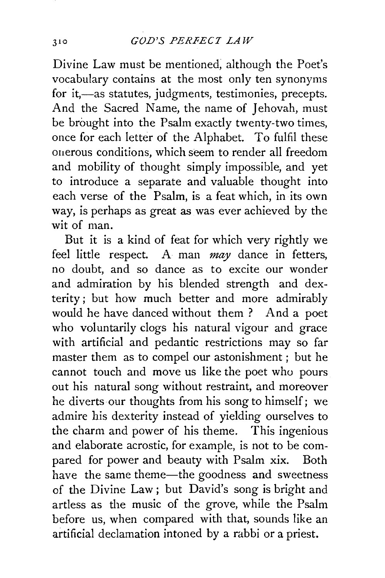Divine Law must be mentioned, although the Poet's vocabulary contains at the most only ten synonyms for it,-as statutes, judgments, testimonies, precepts. And the Sacred Name, the name of Jehovah, must be brought into the Psalm exactly twenty-two times, once for each letter of the Alphabet. To fulfil these onerous conditions, which seem to render all freedom and mobility of thought simply impossible, and yet to introduce a separate and valuable thought into each verse of the Psalm, is a feat which, in its own way, is perhaps as great as was ever achieved by the wit of man.

But it is a kind of feat for which very rightly we feel little respect. A man *may* dance in fetters, no doubt, and so dance as to excite our wonder and admiration by his blended strength and dexterity; but how much better and more admirably would he have danced without them ? And a poet who voluntarily clogs his natural vigour and grace with artificial and pedantic restrictions may so far master them as to compel our astonishment ; but he cannot touch and move us like the poet who pours out his natural song without restraint, and moreover he diverts our thoughts from his song to himself; we admire his dexterity instead of yielding ourselves to the charm and power of his theme. This ingenious and elaborate acrostic, for example, is not to be compared for power and beauty with Psalm xix. Both have the same theme—the goodness and sweetness of the Divine Law; but David's song is bright and artless as the music of the grove, while the Psalm before us, when compared with that, sounds like an artificial declamation intoned by a rabbi or a priest.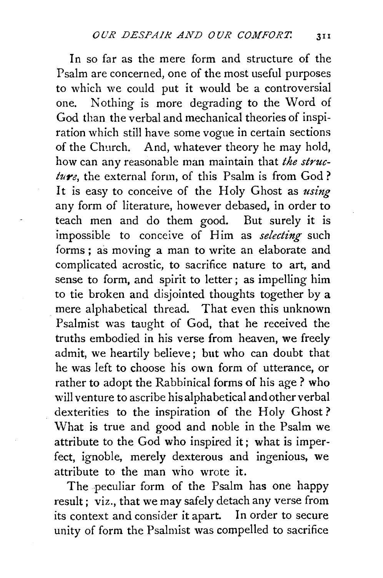In so far as the mere form and structure of the Psalm are concerned, one of the most useful purposes to which we could put it would be a controversial one. Nothing is more degrading to the Word of God than the verbal and mechanical theories of inspiration which still have some vogue in certain sections of the Church. And, whatever theory he may hold, how can any reasonable man maintain that *the structure,* the external form, of this Psalm is from God ? It is easy to conceive of the Holy Ghost as *using*  any form of literature, however debased, in order to teach men and do them good. But surely it is impossible to conceive of Him as *selecting* such forms; as moving a man to write an elaborate and complicated acrostic, to sacrifice nature to art, and sense to form, and spirit to letter; as impelling him to tie broken and disjointed thoughts together by a mere alphabetical thread. That even this unknown Psalmist was taught of God, that he received the truths embodied in his verse from heaven, we freely admit, we heartily believe; but who can doubt that he was left to choose his own form of utterance, or rather to adopt the Rabbinical forms of his age ? who will venture to ascribe his alphabetical and other verbal dexterities to the inspiration of the Holy Ghost? What is true and good and noble in the Psalm we attribute to the God who inspired it; what is imperfect, ignoble, merely dexterous and ingenious, we attribute to the man who wrote it.

The peculiar form of the Psalm has one happy result; viz., that we may safely detach any verse from its context and consider it apart. In order to secure unity of form the Psalmist was compelled to sacrifice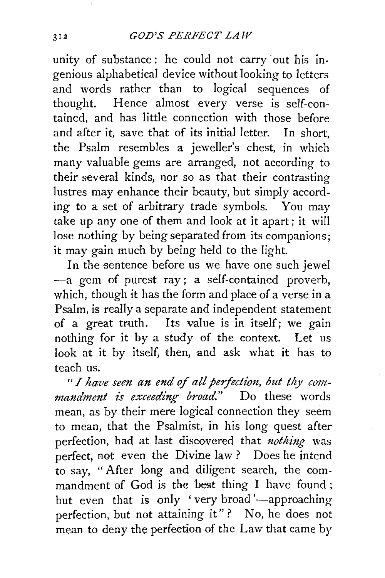unity of substance: he could not carry out his ingenious alphabetical device without looking to letters and words rather than to logical sequences of thought. Hence almost every verse is self-contained, and has little connection with those before and after it, save that of its initial letter. In short, the Psalm resembles a jeweller's chest, in which many valuable gems are arranged, not according to their several kinds, nor so as that their contrasting lustres may enhance their beauty, but simply according to a set of arbitrary trade symbols. You may take up any one of them and look at it apart; it will lose nothing by being separated from its companions; it may gain much by being held to the light.

In the sentence before us we have one such jewel -a gem of purest ray; a self-contained proverb, which, though it has the form and place of a verse in a Psalm, is really a separate and independent statement of a great truth. Its value is in itself; we gain nothing for it by a study of the context. Let us look at it by itself, then, and ask what it has to teach us.

" I have seen an end of all perfection, but thy com*mandment is exceeding broad."* Do these words mean, as by their mere logical connection they seem to mean, that the Psalmist, in his long quest after perfection, had at last discovered that *nothing* was perfect, not even the Divine law? Does he intend to say, "After long and diligent search, the commandment of God is the best thing I have found ; but even that is only 'very broad'—approaching perfection, but not attaining it"? No, he does not mean to deny the perfection of the Law that came by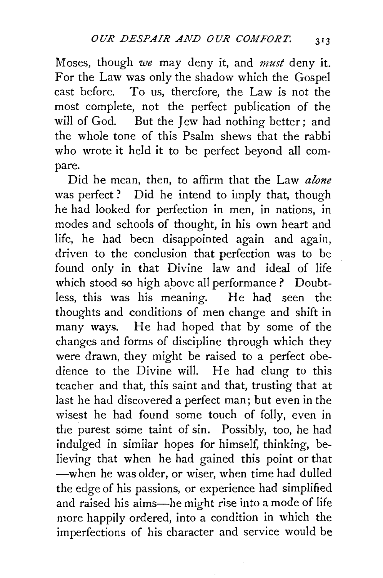Moses, though *we* may deny it, and *must* deny it. For the Law was only the shadow which the Gospel cast before. To us, therefore, the Law is not the most complete, not the perfect publication of the will of God. But the Jew had nothing better; and the whole tone of this Psalm shews that the rabbi who wrote it held it to be perfect beyond all compare.

Did he mean, then, to affirm that the Law *alone*  was perfect? Did he intend to imply that, though he had looked for perfection in men, in nations, in modes and schools of thought, in his own heart and life, he had been disappointed again and again, driven to the conclusion that perfection was to be found only in that Divine law and ideal of life which stood so high above all performance ? Doubtless, this was his meaning. He had seen the thoughts and conditions of men change and shift in many ways. He had hoped that by some of the changes and forms of discipline through which they were drawn, they might be raised to a perfect obedience to the Divine will. He had clung to this teacher and that, this saint and that, trusting that at last he had discovered a perfect man; but even in the wisest he had found some touch of folly, even in the purest some taint of sin. Possibly, too, he had indulged in similar hopes for himself, thinking, believing that when he had gained this point or that -when he was older, or wiser, when time had dulled the edge of his passions, or experience had simplified and raised his aims-he might rise into a mode of life more happily ordered, into a condition in which the imperfections of his character and service would be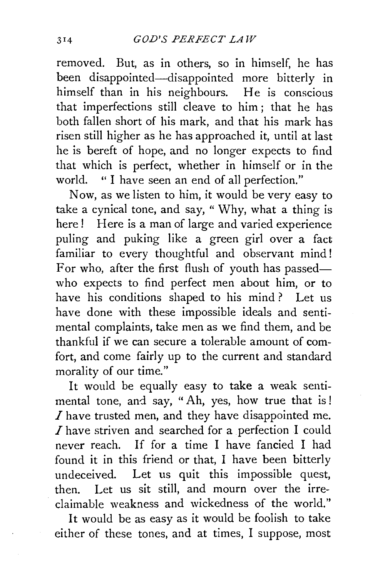removed. But, as in others, so in himself, he has been disappointed—disappointed more bitterly in himself than in his neighbours. He is conscious that imperfections still cleave to him; that he has both fallen short of his mark, and that his mark has risen still higher as he has approached it, until at last he is bereft of hope, and no longer expects to find that which is perfect, whether in himself or in the world. " I have seen an end of all perfection."

Now, as we listen to him, it would be very easy to take a cynical tone, and say, " Why, what a thing is here! Here is a man of large and varied experience puling and puking like a green girl over a fact familiar to every thoughtful and observant mind! For who, after the first flush of youth has passedwho expects to find perfect men about him, or to have his conditions shaped to his mind? Let us have done with these impossible ideals and sentimental complaints, take men as we find them, and be thankful if we can secure a tolerable amount of comfort, and come fairly up to the current and standard morality of our time."

It would be equally easy to take a weak sentimental tone, and say, "Ah, yes, how true that is!  $I$  have trusted men, and they have disappointed me. I have striven and searched for a perfection I could never reach. If for a time I have fancied I had found it in this friend or that, I have been bitterly undeceived. Let us quit this impossible quest, then. Let us sit still, and mourn over the irreclaimable weakness and wickedness of the world."

It would be as easy as it would be foolish to take either of these tones, and at times, I suppose, most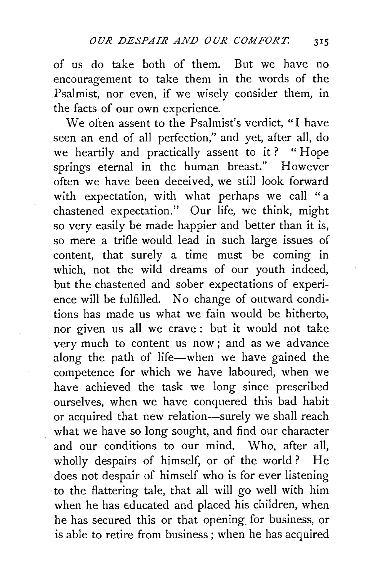of us do take both of them. But we have no encouragement to take them in the words of the Psalmist, nor even, if we wisely consider them, in the facts of our own experience.

We often assent to the Psalmist's verdict, "I have seen an end of all perfection," and yet, after all, do we heartily and practically assent to it? "Hope springs eternal in the human breast." However often we have been deceived, we still look forward with expectation, with what perhaps we call "a chastened expectation." Our life, we think, might so very easily be made happier and better than it is, so mere a trifle would lead in such large issues of content, that surely a time must be coming in which, not the wild dreams of our youth indeed, but the chastened and sober expectations of experience will be fulfilled. No change of outward conditions has made us what we fain would be hitherto, nor given us all we crave : but it would not take very much to content us now; and as we advance along the path of life-when we have gained the competence for which we have laboured, when we have achieved the task we long since prescribed ourselves, when we have conquered this bad habit or acquired that new relation-surely we shall reach what we have so long sought, and find our character and our conditions to our mind. Who, after all, wholly despairs of himself, or of the world? He does not despair of himself who is for ever listening to the flattering tale, that all will go well with him when he has educated and placed his children, when he has secured this or that opening, for business, or is able to retire from business; when he has acquired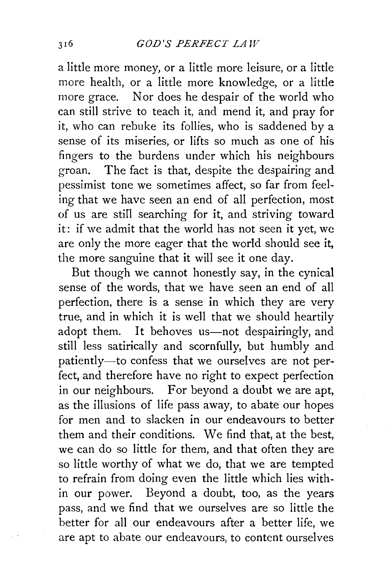a little more money, or a little more leisure, or a little more health, or a little more knowledge, or a little more grace. Nor does he despair of the world who can still strive to teach it, and mend it, and pray for it, who can rebuke its follies, who is saddened by a sense of its miseries, or lifts so much as one of his fingers to the burdens under which his neighbours groan. The fact is that, despite the despairing and pessimist tone we sometimes affect, so far from feeling that we have seen an end of all perfection, most of us are stiil searching for it, and striving toward it: if we admit that the world has not seen it yet, we are only the more eager that the world should see it, the more sanguine that it will see it one day.

But though we cannot honestly say, in the cynical sense of the words, that we have seen an end of all perfection, there is a sense in which they are very true, and in which it is well that we should heartily adopt them. It behoves us-not despairingly, and still less satirically and scornfully, but humbly and patiently-to confess that we ourselves are not perfect, and therefore have no right to expect perfection in our neighbours. For beyond a doubt we are apt, as the illusions of life pass away, to abate our hopes for men and to slacken in our endeavours to better them and their conditions. We find that, at the best, we can do so little for them, and that often they are so little worthy of what we do, that we are tempted to refrain from doing even the little which lies within our power. Beyond a doubt, too, as the years pass, and we find that we ourselves are so little the better for all our endeavours after a better life, we are apt to abate our endeavours, to content ourselves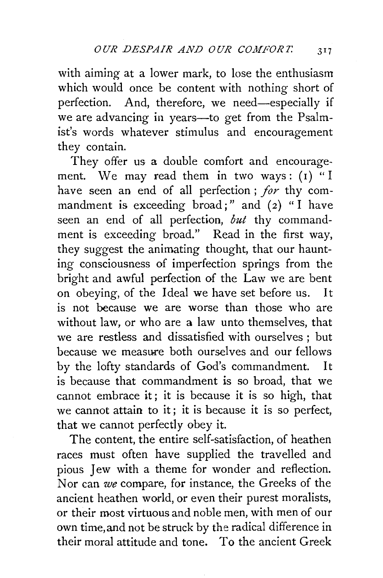with aiming at a lower mark, to lose the enthusiasm which would once be content with nothing short of perfection. And, therefore, we need-especially if we are advancing in years—to get from the Psalmist's words whatever stimulus and encouragement they contain.

They offer us a double comfort and encouragement. We may read them in two ways:  $(I)$  "I have seen an end of all perfection; *for* thy commandment is exceeding broad;" and  $(2)$  "I have seen an end of all perfection, *but* thy commandment is exceeding broad." Read in the first way, they suggest the animating thought, that our haunting consciousness of imperfection springs from the bright and awful perfection of the Law we are bent on obeying, of the Ideal we have set before us. It is not because we are worse than those who are without law, or who are a law unto themselves, that we are restless and dissatisfied with ourselves ; but because we measure both ourselves and our fellows by the lofty standards of God's commandment. It is because that commandment is so broad, that we cannot embrace it; it is because it is so high, that we cannot attain to it ; it is because it is so perfect, that we cannot perfectly obey it.

The content, the entire self-satisfaction, of heathen races must often have supplied the travelled and pious Jew with a theme for wonder and reflection. Nor can *we* compare, for instance, the Greeks of the ancient heathen world, or even their purest moralists, or their most virtuous and noble men, with men of our own time, and not be struck by the radical difference in their moral attitude and tone. To the ancient Greek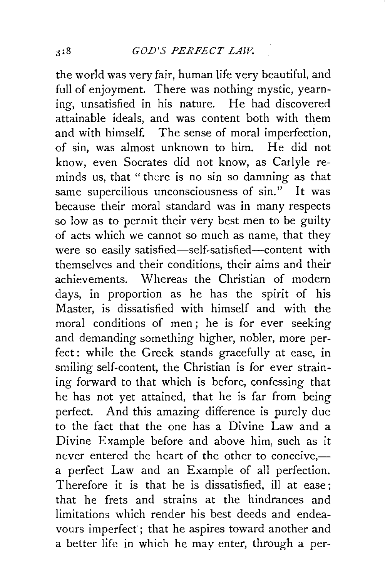the world was very fair, human life very beautiful, and full of enjoyment. There was nothing mystic, yearning, unsatisfied in his nature. He had discovered attainable ideals, and was content both with them and with himself. The sense of moral imperfection, of sin, was almost unknown to him. He did not know, even Socrates did not know, as Carlyle reminds us, that " there is no sin so damning as that same supercilious unconsciousness of sin." It was because their moral standard was in many respects so low as to permit their very best men to be guilty of acts which we cannot so much as name, that they were so easily satisfied-self-satisfied-content with themselves and their conditions, their aims and their achievements. Whereas the Christian of modern days, in proportion as he has the spirit of his Master, is dissatisfied with himself and with the moral conditions of men ; he is for ever seeking and demanding something higher, nobler, more perfect: while the Greek stands gracefully at ease, in smiling self-content, the Christian is for ever straining forward to that which is before, confessing that he has not yet attained, that he is far from being perfect. And this amazing difference is purely due to the fact that the one has a Divine Law and a Divine Example before and above him, such as it never entered the heart of the other to conceive,a perfect Law and an Example of all perfection. Therefore it is that he is dissatisfied, ill at ease; that he frets and strains at the hindrances and limitations which render his best deeds and endeavours imperfect; that he aspires toward another and a better life in which he may enter, through a per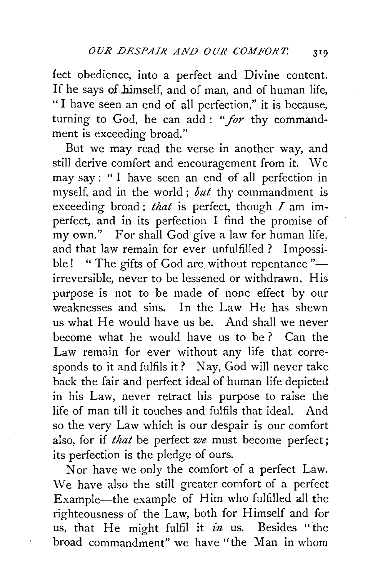feet obedience, into a perfect and Divine content. If he says of himself, and of man, and of human life, " I have seen an end of all perfection," it is because, turning to God, he can add: *"for* thy commandment is exceeding broad."

But we may read the verse in another way, and still derive comfort and encouragement from it. We may say : " I have seen an end of all perfection in myself, and in the world ; *but* thy commandment is exceeding broad : *that* is perfect, though *I* am imperfect, and in its perfection I find the promise of my own." For shall God give a law for human life, and that law remain for ever unfulfilled ? Impossible! " The gifts of God are without repentance "irreversible, never to be lessened or withdrawn. His purpose is not to be made of none effect by our weaknesses and sins. In the Law He has shewn us what He would have us be. And shall we never become what he would have us to be ? Can the Law remain for ever without any life that corresponds to it and fulfils it ? Nay, God will never take back the fair and perfect ideal of human life depicted in his Law, never retract his purpose to raise the life of man till it touches and fulfils that ideal. And so the very Law which is our despair is our comfort also, for if *that* be perfect *we* must become perfect; its perfection is the pledge of ours.

Nor have we only the comfort of a perfect Law. We have also the still greater comfort of a perfect Example-the example of Him who fulfilled all the righteousness of the Law, both for Himself and for us, that He might fulfil it *in* us. Besides "the broad commandment" we have "the Man in whom